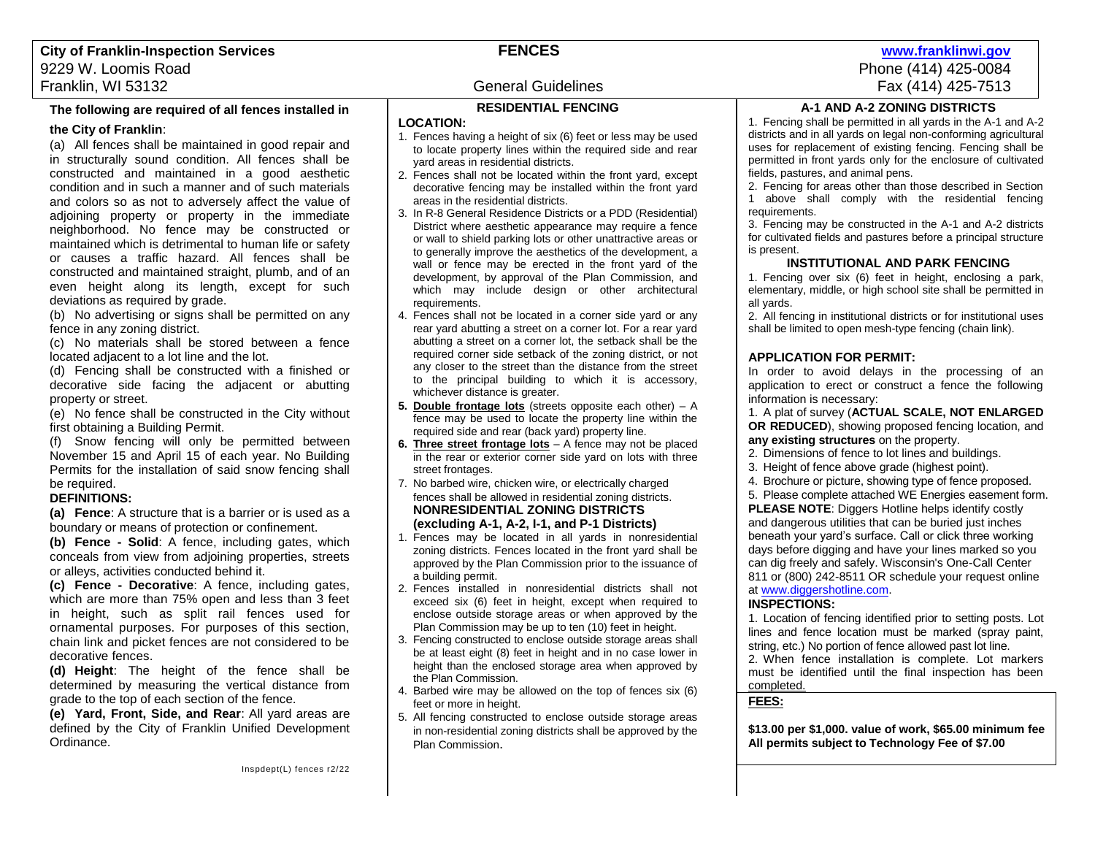# **The following are required of all fences installed in**

## **the City of Franklin**:

(a) All fences shall be maintained in good repair and in structurally sound condition. All fences shall be constructed and maintained in a good aesthetic condition and in such a manner and of such materials and colors so as not to adversely affect the value of adjoining property or property in the immediate neighborhood. No fence may be constructed or maintained which is detrimental to human life or safety or causes a traffic hazard. All fences shall be constructed and maintained straight, plumb, and of an even height along its length, except for such deviations as required by grade.

(b) No advertising or signs shall be permitted on any fence in any zoning district.

(c) No materials shall be stored between a fence located adjacent to a lot line and the lot.

(d) Fencing shall be constructed with a finished or decorative side facing the adjacent or abutting property or street.

(e) No fence shall be constructed in the City without first obtaining a Building Permit.

(f) Snow fencing will only be permitted between November 15 and April 15 of each year. No Building Permits for the installation of said snow fencing shall be required.

# **DEFINITIONS:**

**(a) Fence**: A structure that is a barrier or is used as a boundary or means of protection or confinement.

**(b) Fence - Solid**: A fence, including gates, which conceals from view from adjoining properties, streets or alleys, activities conducted behind it.

**(c) Fence - Decorative**: A fence, including gates, which are more than 75% open and less than 3 feet in height, such as split rail fences used for ornamental purposes. For purposes of this section, chain link and picket fences are not considered to be decorative fences.

**(d) Height**: The height of the fence shall be determined by measuring the vertical distance from grade to the top of each section of the fence.

**(e) Yard, Front, Side, and Rear**: All yard areas are defined by the City of Franklin Unified Development Ordinance.

# **RESIDENTIAL FENCING**

# **LOCATION:**

- 1. Fences having a height of six (6) feet or less may be used to locate property lines within the required side and rear yard areas in residential districts.
- 2. Fences shall not be located within the front yard, except decorative fencing may be installed within the front yard areas in the residential districts.
- 3. In R-8 General Residence Districts or a PDD (Residential) District where aesthetic appearance may require a fence or wall to shield parking lots or other unattractive areas or to generally improve the aesthetics of the development, a wall or fence may be erected in the front yard of the development, by approval of the Plan Commission, and which may include design or other architectural requirements.
- 4. Fences shall not be located in a corner side yard or any rear yard abutting a street on a corner lot. For a rear yard abutting a street on a corner lot, the setback shall be the required corner side setback of the zoning district, or not any closer to the street than the distance from the street to the principal building to which it is accessory, whichever distance is greater.
- **5. Double frontage lots** (streets opposite each other) A fence may be used to locate the property line within the required side and rear (back yard) property line.
- **6. Three street frontage lots** A fence may not be placed in the rear or exterior corner side yard on lots with three street frontages.
- 7. No barbed wire, chicken wire, or electrically charged fences shall be allowed in residential zoning districts. **NONRESIDENTIAL ZONING DISTRICTS (excluding A-1, A-2, I-1, and P-1 Districts)**
- 1. Fences may be located in all yards in nonresidential zoning districts. Fences located in the front yard shall be approved by the Plan Commission prior to the issuance of a building permit.
- 2. Fences installed in nonresidential districts shall not exceed six (6) feet in height, except when required to enclose outside storage areas or when approved by the Plan Commission may be up to ten (10) feet in height.
- 3. Fencing constructed to enclose outside storage areas shall be at least eight (8) feet in height and in no case lower in height than the enclosed storage area when approved by the Plan Commission.
- 4. Barbed wire may be allowed on the top of fences six (6) feet or more in height.
- 5. All fencing constructed to enclose outside storage areas in non-residential zoning districts shall be approved by the Plan Commission.

# **A-1 AND A-2 ZONING DISTRICTS**

1. Fencing shall be permitted in all yards in the A-1 and A-2 districts and in all yards on legal non-conforming agricultural uses for replacement of existing fencing. Fencing shall be permitted in front yards only for the enclosure of cultivated fields, pastures, and animal pens.

2. Fencing for areas other than those described in Section 1 above shall comply with the residential fencing requirements.

3. Fencing may be constructed in the A-1 and A-2 districts for cultivated fields and pastures before a principal structure is present.

## **INSTITUTIONAL AND PARK FENCING**

1. Fencing over six (6) feet in height, enclosing a park, elementary, middle, or high school site shall be permitted in all yards.

2. All fencing in institutional districts or for institutional uses shall be limited to open mesh-type fencing (chain link).

## **APPLICATION FOR PERMIT:**

In order to avoid delays in the processing of an application to erect or construct a fence the following information is necessary:

1. A plat of survey (**ACTUAL SCALE, NOT ENLARGED OR REDUCED**), showing proposed fencing location, and **any existing structures** on the property.

- 2. Dimensions of fence to lot lines and buildings.
- 3. Height of fence above grade (highest point).
- 4. Brochure or picture, showing type of fence proposed.
- 5. Please complete attached WE Energies easement form.

**PLEASE NOTE:** Diggers Hotline helps identify costly and dangerous utilities that can be buried just inches beneath your yard's surface. Call or click three working days before digging and have your lines marked so you can dig freely and safely. Wisconsin's One-Call Center 811 or (800) 242-8511 OR schedule your request online a[t www.diggershotline.com.](http://www.diggershotline.com/)

# **INSPECTIONS:**

1. Location of fencing identified prior to setting posts. Lot lines and fence location must be marked (spray paint, string, etc.) No portion of fence allowed past lot line.

2. When fence installation is complete. Lot markers must be identified until the final inspection has been completed.

#### **FEES:**

**\$13.00 per \$1,000. value of work, \$65.00 minimum fee All permits subject to Technology Fee of \$7.00**